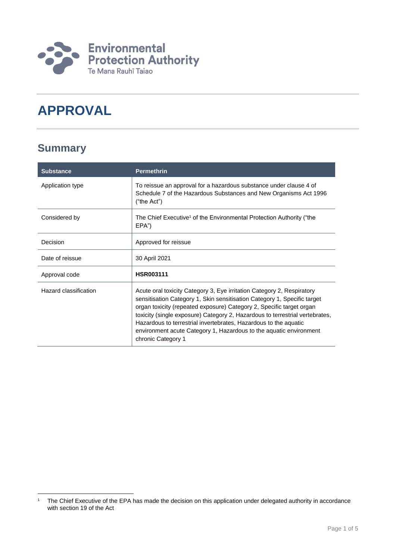

# **APPROVAL**

## **Summary**

1

| <b>Substance</b>      | <b>Permethrin</b>                                                                                                                                                                                                                                                                                                                                                                                                                                                          |
|-----------------------|----------------------------------------------------------------------------------------------------------------------------------------------------------------------------------------------------------------------------------------------------------------------------------------------------------------------------------------------------------------------------------------------------------------------------------------------------------------------------|
| Application type      | To reissue an approval for a hazardous substance under clause 4 of<br>Schedule 7 of the Hazardous Substances and New Organisms Act 1996<br>("the Act")                                                                                                                                                                                                                                                                                                                     |
| Considered by         | The Chief Executive <sup>1</sup> of the Environmental Protection Authority ("the<br>EPA")                                                                                                                                                                                                                                                                                                                                                                                  |
| Decision              | Approved for reissue                                                                                                                                                                                                                                                                                                                                                                                                                                                       |
| Date of reissue       | 30 April 2021                                                                                                                                                                                                                                                                                                                                                                                                                                                              |
| Approval code         | <b>HSR003111</b>                                                                                                                                                                                                                                                                                                                                                                                                                                                           |
| Hazard classification | Acute oral toxicity Category 3, Eye irritation Category 2, Respiratory<br>sensitisation Category 1, Skin sensitisation Category 1, Specific target<br>organ toxicity (repeated exposure) Category 2, Specific target organ<br>toxicity (single exposure) Category 2, Hazardous to terrestrial vertebrates,<br>Hazardous to terrestrial invertebrates, Hazardous to the aquatic<br>environment acute Category 1, Hazardous to the aquatic environment<br>chronic Category 1 |

<sup>&</sup>lt;sup>1</sup> The Chief Executive of the EPA has made the decision on this application under delegated authority in accordance with section 19 of the Act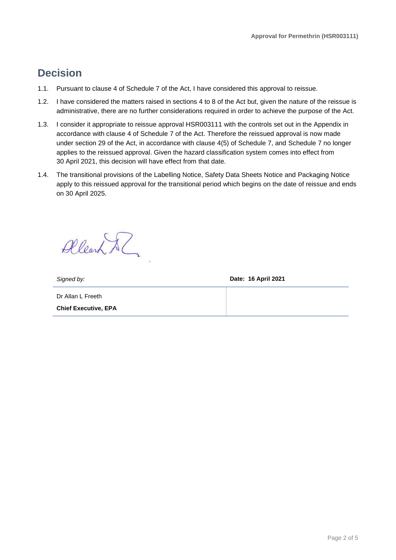### **Decision**

- 1.1. Pursuant to clause 4 of Schedule 7 of the Act, I have considered this approval to reissue.
- 1.2. I have considered the matters raised in sections 4 to 8 of the Act but, given the nature of the reissue is administrative, there are no further considerations required in order to achieve the purpose of the Act.
- 1.3. I consider it appropriate to reissue approval HSR003111 with the controls set out in the Appendix in accordance with clause 4 of Schedule 7 of the Act. Therefore the reissued approval is now made under section 29 of the Act, in accordance with clause 4(5) of Schedule 7, and Schedule 7 no longer applies to the reissued approval. Given the hazard classification system comes into effect from 30 April 2021, this decision will have effect from that date.
- 1.4. The transitional provisions of the Labelling Notice, Safety Data Sheets Notice and Packaging Notice apply to this reissued approval for the transitional period which begins on the date of reissue and ends on 30 April 2025.

Allearn Al

*Signed by:* **Date: 16 April 2021**

Dr Allan L Freeth **Chief Executive, EPA**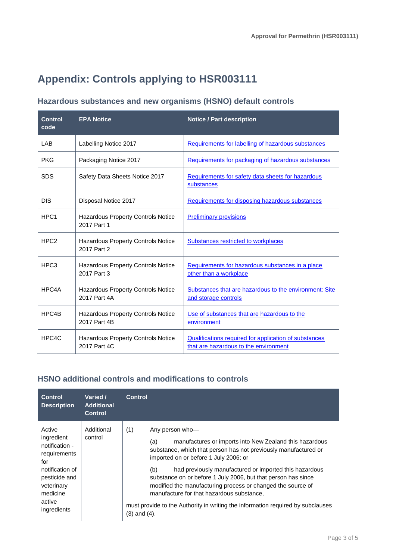## **Appendix: Controls applying to HSR003111**

### **Hazardous substances and new organisms (HSNO) default controls**

| <b>Control</b><br>code | <b>EPA Notice</b>                                         | <b>Notice / Part description</b>                                                               |
|------------------------|-----------------------------------------------------------|------------------------------------------------------------------------------------------------|
| LAB                    | Labelling Notice 2017                                     | Requirements for labelling of hazardous substances                                             |
| <b>PKG</b>             | Packaging Notice 2017                                     | Requirements for packaging of hazardous substances                                             |
| <b>SDS</b>             | Safety Data Sheets Notice 2017                            | Requirements for safety data sheets for hazardous<br>substances                                |
| <b>DIS</b>             | Disposal Notice 2017                                      | Requirements for disposing hazardous substances                                                |
| HPC <sub>1</sub>       | Hazardous Property Controls Notice<br>2017 Part 1         | <b>Preliminary provisions</b>                                                                  |
| HPC <sub>2</sub>       | <b>Hazardous Property Controls Notice</b><br>2017 Part 2  | Substances restricted to workplaces                                                            |
| HPC3                   | Hazardous Property Controls Notice<br>2017 Part 3         | Requirements for hazardous substances in a place<br>other than a workplace                     |
| HPC4A                  | <b>Hazardous Property Controls Notice</b><br>2017 Part 4A | Substances that are hazardous to the environment: Site<br>and storage controls                 |
| HPC4B                  | <b>Hazardous Property Controls Notice</b><br>2017 Part 4B | Use of substances that are hazardous to the<br>environment                                     |
| HPC4C                  | <b>Hazardous Property Controls Notice</b><br>2017 Part 4C | Qualifications required for application of substances<br>that are hazardous to the environment |

### **HSNO additional controls and modifications to controls**

| <b>Control</b><br><b>Description</b>                                                                                                                 | Varied /<br><b>Additional</b><br><b>Control</b> | <b>Control</b>                                                                                                                                                                                                                                                                                                                                                                                                                                                                                                                                             |
|------------------------------------------------------------------------------------------------------------------------------------------------------|-------------------------------------------------|------------------------------------------------------------------------------------------------------------------------------------------------------------------------------------------------------------------------------------------------------------------------------------------------------------------------------------------------------------------------------------------------------------------------------------------------------------------------------------------------------------------------------------------------------------|
| Active<br>ingredient<br>notification -<br>requirements<br>for<br>notification of<br>pesticide and<br>veterinary<br>medicine<br>active<br>ingredients | Additional<br>control                           | (1)<br>Any person who-<br>(a)<br>manufactures or imports into New Zealand this hazardous<br>substance, which that person has not previously manufactured or<br>imported on or before 1 July 2006; or<br>(b)<br>had previously manufactured or imported this hazardous<br>substance on or before 1 July 2006, but that person has since<br>modified the manufacturing process or changed the source of<br>manufacture for that hazardous substance,<br>must provide to the Authority in writing the information required by subclauses<br>$(3)$ and $(4)$ . |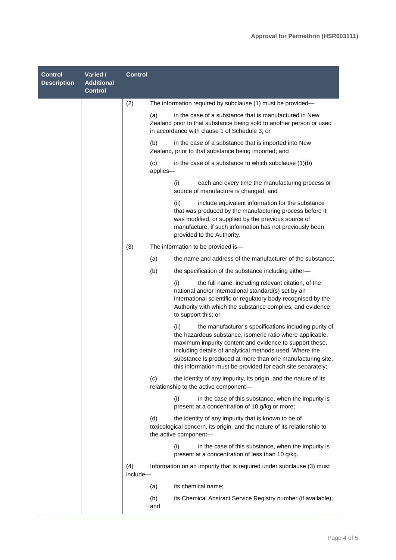| <b>Control</b><br><b>Description</b> | Varied /<br><b>Additional</b><br><b>Control</b> | <b>Control</b>  |                                                                                                                                                                                                                                                                                                                                                                               |
|--------------------------------------|-------------------------------------------------|-----------------|-------------------------------------------------------------------------------------------------------------------------------------------------------------------------------------------------------------------------------------------------------------------------------------------------------------------------------------------------------------------------------|
|                                      |                                                 | (2)             | The information required by subclause (1) must be provided-                                                                                                                                                                                                                                                                                                                   |
|                                      |                                                 |                 | in the case of a substance that is manufactured in New<br>(a)<br>Zealand prior to that substance being sold to another person or used<br>in accordance with clause 1 of Schedule 3; or                                                                                                                                                                                        |
|                                      |                                                 |                 | (b)<br>in the case of a substance that is imported into New<br>Zealand, prior to that substance being imported; and                                                                                                                                                                                                                                                           |
|                                      |                                                 |                 | (c)<br>in the case of a substance to which subclause $(1)(b)$<br>applies-                                                                                                                                                                                                                                                                                                     |
|                                      |                                                 |                 | (i)<br>each and every time the manufacturing process or<br>source of manufacture is changed; and                                                                                                                                                                                                                                                                              |
|                                      |                                                 |                 | (ii)<br>include equivalent information for the substance<br>that was produced by the manufacturing process before it<br>was modified, or supplied by the previous source of<br>manufacture, if such information has not previously been<br>provided to the Authority.                                                                                                         |
|                                      |                                                 | (3)             | The information to be provided is-                                                                                                                                                                                                                                                                                                                                            |
|                                      |                                                 |                 | (a)<br>the name and address of the manufacturer of the substance;                                                                                                                                                                                                                                                                                                             |
|                                      |                                                 |                 | (b)<br>the specification of the substance including either-                                                                                                                                                                                                                                                                                                                   |
|                                      |                                                 |                 | the full name, including relevant citation, of the<br>(i)<br>national and/or international standard(s) set by an<br>international scientific or regulatory body recognised by the<br>Authority with which the substance complies, and evidence<br>to support this; or                                                                                                         |
|                                      |                                                 |                 | the manufacturer's specifications including purity of<br>(ii)<br>the hazardous substance, isomeric ratio where applicable,<br>maximum impurity content and evidence to support these,<br>including details of analytical methods used. Where the<br>substance is produced at more than one manufacturing site,<br>this information must be provided for each site separately; |
|                                      |                                                 |                 | (c)<br>the identity of any impurity, its origin, and the nature of its<br>relationship to the active component-                                                                                                                                                                                                                                                               |
|                                      |                                                 |                 | (i)<br>in the case of this substance, when the impurity is<br>present at a concentration of 10 g/kg or more;                                                                                                                                                                                                                                                                  |
|                                      |                                                 |                 | (d)<br>the identity of any impurity that is known to be of<br>toxicological concern, its origin, and the nature of its relationship to<br>the active component-                                                                                                                                                                                                               |
|                                      |                                                 |                 | (i)<br>in the case of this substance, when the impurity is<br>present at a concentration of less than 10 g/kg.                                                                                                                                                                                                                                                                |
|                                      |                                                 | (4)<br>include- | Information on an impurity that is required under subclause (3) must                                                                                                                                                                                                                                                                                                          |
|                                      |                                                 |                 | its chemical name;<br>(a)                                                                                                                                                                                                                                                                                                                                                     |
|                                      |                                                 |                 | (b)<br>its Chemical Abstract Service Registry number (if available);<br>and                                                                                                                                                                                                                                                                                                   |